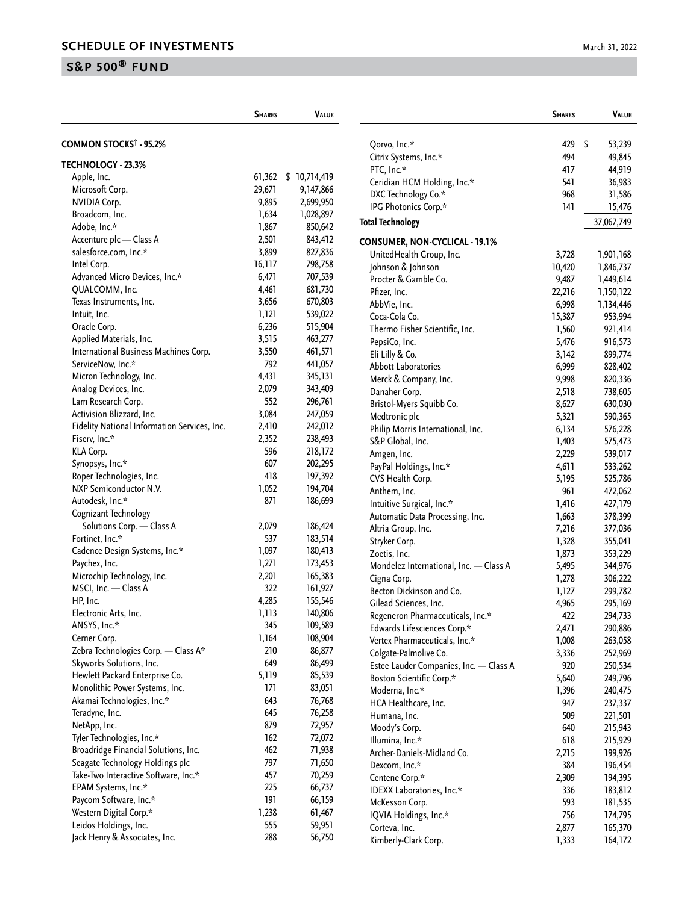|                                              | <b>SHARES</b> | VALUE        |                                             |
|----------------------------------------------|---------------|--------------|---------------------------------------------|
| COMMON STOCKS <sup>†</sup> - 95.2%           |               |              | Qorvo, Inc.*                                |
| <b>TECHNOLOGY - 23.3%</b>                    |               |              | Citrix Systems                              |
| Apple, Inc.                                  | 61,362        | \$10,714,419 | PTC, Inc.*                                  |
| Microsoft Corp.                              | 29,671        | 9,147,866    | Ceridian HCM                                |
| <b>NVIDIA Corp.</b>                          | 9,895         | 2,699,950    | DXC Technolo                                |
| Broadcom, Inc.                               | 1,634         | 1,028,897    | <b>IPG Photonics</b>                        |
| Adobe, Inc.*                                 | 1,867         | 850,642      | <b>Total Technology</b>                     |
| Accenture plc - Class A                      | 2,501         | 843,412      |                                             |
| salesforce.com, Inc.*                        | 3,899         | 827,836      | <b>CONSUMER, NO</b>                         |
| Intel Corp.                                  | 16,117        | 798,758      | UnitedHealth                                |
| Advanced Micro Devices, Inc.*                | 6,471         | 707,539      | Johnson & Joh                               |
| QUALCOMM, Inc.                               | 4,461         | 681,730      | Procter & Gar                               |
| Texas Instruments, Inc.                      | 3,656         | 670,803      | Pfizer, Inc.                                |
| Intuit, Inc.                                 | 1,121         | 539,022      | AbbVie, Inc.                                |
| Oracle Corp.                                 | 6,236         | 515,904      | Coca-Cola Co.                               |
| Applied Materials, Inc.                      |               | 463,277      | Thermo Fishe                                |
|                                              | 3,515         |              | PepsiCo, Inc.                               |
| International Business Machines Corp.        | 3,550         | 461,571      | Eli Lilly & Co.                             |
| ServiceNow, Inc.*                            | 792           | 441,057      | Abbott Labora                               |
| Micron Technology, Inc.                      | 4,431         | 345,131      | Merck & Com                                 |
| Analog Devices, Inc.                         | 2,079         | 343,409      | Danaher Corp                                |
| Lam Research Corp.                           | 552           | 296,761      | <b>Bristol-Myers</b>                        |
| Activision Blizzard, Inc.                    | 3,084         | 247,059      | Medtronic plc                               |
| Fidelity National Information Services, Inc. | 2,410         | 242,012      | <b>Philip Morris</b>                        |
| Fiserv, Inc.*                                | 2,352         | 238,493      | S&P Global, I                               |
| KLA Corp.                                    | 596           | 218,172      | Amgen, Inc.                                 |
| Synopsys, Inc.*                              | 607           | 202,295      | PayPal Holdin                               |
| Roper Technologies, Inc.                     | 418           | 197,392      | CVS Health Co                               |
| NXP Semiconductor N.V.                       | 1,052         | 194,704      | Anthem, Inc.                                |
| Autodesk, Inc.*                              | 871           | 186,699      | <b>Intuitive Surg</b>                       |
| Cognizant Technology                         |               |              | Automatic Da                                |
| Solutions Corp. - Class A                    | 2,079         | 186,424      | Altria Group,                               |
| Fortinet, Inc.*                              | 537           | 183,514      | Stryker Corp.                               |
| Cadence Design Systems, Inc.*                | 1,097         | 180,413      | Zoetis, Inc.                                |
| Paychex, Inc.                                | 1,271         | 173,453      | Mondelez Inte                               |
| Microchip Technology, Inc.                   | 2,201         | 165,383      | Cigna Corp.                                 |
| MSCI, Inc. - Class A                         | 322           | 161,927      | <b>Becton Dickin</b>                        |
| HP, Inc.                                     | 4,285         | 155,546      | Gilead Scienc                               |
| Electronic Arts, Inc.                        | 1,113         | 140,806      | Regeneron Ph                                |
| ANSYS, Inc.*                                 | 345           | 109,589      | <b>Edwards Lifes</b>                        |
| Cerner Corp.                                 | 1,164         | 108,904      | Vertex Pharma                               |
| Zebra Technologies Corp. - Class A*          | 210           | 86,877       | Colgate-Palmo                               |
| Skyworks Solutions, Inc.                     | 649           | 86,499       | Estee Lauder                                |
| Hewlett Packard Enterprise Co.               | 5,119         | 85,539       | <b>Boston Scient</b>                        |
| Monolithic Power Systems, Inc.               | 171           | 83,051       | Moderna, Inc.                               |
| Akamai Technologies, Inc.*                   | 643           | 76,768       | <b>HCA</b> Healthca                         |
| Teradyne, Inc.                               | 645           | 76,258       | Humana, Inc.                                |
| NetApp, Inc.                                 | 879           | 72,957       | Moody's Corp                                |
| Tyler Technologies, Inc.*                    | 162           | 72,072       | Illumina, Inc.                              |
| Broadridge Financial Solutions, Inc.         | 462           | 71,938       | Archer-Daniel                               |
| Seagate Technology Holdings plc              | 797           | 71,650       |                                             |
| Take-Two Interactive Software, Inc.*         | 457           | 70,259       | Dexcom, Inc. <sup>\$</sup><br>Centene Corp. |
| EPAM Systems, Inc.*                          | 225           | 66,737       |                                             |
| Paycom Software, Inc.*                       | 191           | 66,159       | <b>IDEXX Labora</b>                         |
| Western Digital Corp.*                       | 1,238         | 61,467       | McKesson Co                                 |
| Leidos Holdings, Inc.                        | 555           | 59,951       | IQVIA Holdin                                |
| Jack Henry & Associates, Inc.                | 288           |              | Corteva, Inc.                               |
|                                              |               | 56,750       | Kimberly-Clar                               |

|                                         | <b>SHARES</b> | Value        |
|-----------------------------------------|---------------|--------------|
| Qorvo, Inc.*                            | 429           | \$<br>53,239 |
|                                         | 494           |              |
| Citrix Systems, Inc.*                   |               | 49,845       |
| PTC, Inc.*                              | 417           | 44,919       |
| Ceridian HCM Holding, Inc.*             | 541           | 36,983       |
| DXC Technology Co.*                     | 968           | 31,586       |
| IPG Photonics Corp.*                    | 141           | 15,476       |
| <b>Total Technology</b>                 |               | 37,067,749   |
| CONSUMER, NON-CYCLICAL - 19.1%          |               |              |
| UnitedHealth Group, Inc.                | 3,728         | 1,901,168    |
| Johnson & Johnson                       | 10,420        | 1,846,737    |
| Procter & Gamble Co.                    | 9,487         | 1,449,614    |
| Pfizer, Inc.                            | 22,216        | 1,150,122    |
| AbbVie, Inc.                            | 6,998         | 1,134,446    |
| Coca-Cola Co.                           | 15,387        | 953,994      |
| Thermo Fisher Scientific, Inc.          | 1,560         | 921,414      |
| PepsiCo, Inc.                           | 5,476         | 916,573      |
| Eli Lilly & Co.                         | 3,142         | 899,774      |
| <b>Abbott Laboratories</b>              | 6,999         | 828,402      |
| Merck & Company, Inc.                   | 9,998         | 820,336      |
| Danaher Corp.                           | 2,518         | 738,605      |
| Bristol-Myers Squibb Co.                | 8,627         | 630,030      |
| Medtronic plc                           | 5,321         | 590,365      |
| Philip Morris International, Inc.       | 6,134         | 576,228      |
| S&P Global, Inc.                        | 1,403         | 575,473      |
| Amgen, Inc.                             | 2,229         | 539,017      |
| PayPal Holdings, Inc.*                  | 4,611         | 533,262      |
| CVS Health Corp.                        | 5,195         | 525,786      |
| Anthem, Inc.                            | 961           | 472,062      |
| Intuitive Surgical, Inc.*               | 1,416         | 427,179      |
| Automatic Data Processing, Inc.         | 1,663         | 378,399      |
| Altria Group, Inc.                      | 7,216         | 377,036      |
| Stryker Corp.                           | 1,328         | 355,041      |
| Zoetis, Inc.                            | 1,873         | 353,229      |
| Mondelez International, Inc. - Class A  | 5,495         | 344,976      |
| Cigna Corp.                             | 1,278         | 306,222      |
| Becton Dickinson and Co.                | 1,127         | 299,782      |
| Gilead Sciences, Inc.                   | 4,965         | 295,169      |
| Regeneron Pharmaceuticals, Inc.*        | 422           | 294,733      |
| Edwards Lifesciences Corp.*             | 2,471         | 290,886      |
| Vertex Pharmaceuticals, Inc.*           | 1,008         | 263,058      |
| Colgate-Palmolive Co.                   | 3,336         | 252,969      |
| Estee Lauder Companies, Inc. - Class A  | 920           | 250,534      |
| <b>Boston Scientific Corp.*</b>         | 5,640         | 249,796      |
| Moderna, Inc.*                          | 1,396         | 240,475      |
| HCA Healthcare, Inc.                    | 947           | 237,337      |
| Humana, Inc.                            | 509           | 221,501      |
| Moody's Corp.                           | 640           | 215,943      |
| Illumina, Inc.*                         | 618           | 215,929      |
| Archer-Daniels-Midland Co.              | 2,215         | 199,926      |
| Dexcom, Inc.*                           | 384           | 196,454      |
| Centene Corp.*                          | 2,309         | 194,395      |
| IDEXX Laboratories, Inc.*               | 336           | 183,812      |
|                                         | 593           |              |
| McKesson Corp.<br>IQVIA Holdings, Inc.* | 756           | 181,535      |
| Corteva, Inc.                           |               | 174,795      |
| Kimberly-Clark Corp.                    | 2,877         | 165,370      |
|                                         | 1,333         | 164,172      |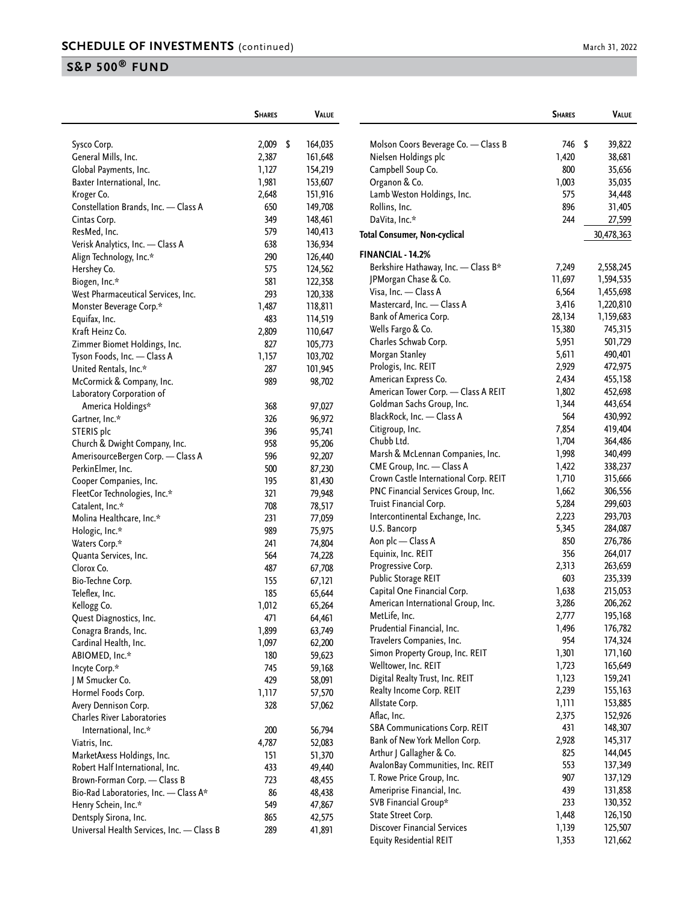|                                           | <b>SHARES</b> |      | <b>VALUE</b> |                                       | <b>SHARES</b> | <b>VALUE</b> |
|-------------------------------------------|---------------|------|--------------|---------------------------------------|---------------|--------------|
| Sysco Corp.                               | 2,009         | - \$ | 164,035      | Molson Coors Beverage Co. - Class B   | 746           | \$<br>39,822 |
| General Mills, Inc.                       | 2,387         |      | 161,648      | Nielsen Holdings plc                  | 1,420         | 38,681       |
| Global Payments, Inc.                     | 1,127         |      | 154,219      | Campbell Soup Co.                     | 800           | 35,656       |
| Baxter International, Inc.                | 1,981         |      | 153,607      | Organon & Co.                         | 1,003         | 35,035       |
| Kroger Co.                                | 2,648         |      | 151,916      | Lamb Weston Holdings, Inc.            | 575           | 34,448       |
| Constellation Brands, Inc. - Class A      | 650           |      | 149,708      | Rollins, Inc.                         | 896           | 31,405       |
| Cintas Corp.                              | 349           |      | 148,461      | DaVita, Inc.*                         | 244           | 27,599       |
| ResMed, Inc.                              | 579           |      | 140,413      | <b>Total Consumer, Non-cyclical</b>   |               | 30,478,363   |
| Verisk Analytics, Inc. - Class A          | 638           |      | 136,934      |                                       |               |              |
| Align Technology, Inc.*                   | 290           |      | 126,440      | FINANCIAL - 14.2%                     |               |              |
| Hershey Co.                               | 575           |      | 124,562      | Berkshire Hathaway, Inc. - Class B*   | 7,249         | 2,558,245    |
| Biogen, Inc.*                             | 581           |      | 122,358      | JPMorgan Chase & Co.                  | 11,697        | 1,594,535    |
| West Pharmaceutical Services, Inc.        | 293           |      | 120,338      | Visa, Inc. - Class A                  | 6,564         | 1,455,698    |
| Monster Beverage Corp.*                   | 1,487         |      | 118,811      | Mastercard, Inc. - Class A            | 3,416         | 1,220,810    |
| Equifax, Inc.                             | 483           |      | 114,519      | Bank of America Corp.                 | 28,134        | 1,159,683    |
| Kraft Heinz Co.                           | 2,809         |      | 110,647      | Wells Fargo & Co.                     | 15,380        | 745,315      |
| Zimmer Biomet Holdings, Inc.              | 827           |      | 105,773      | Charles Schwab Corp.                  | 5,951         | 501,729      |
| Tyson Foods, Inc. - Class A               | 1,157         |      | 103,702      | Morgan Stanley                        | 5,611         | 490,401      |
| United Rentals, Inc.*                     | 287           |      | 101,945      | Prologis, Inc. REIT                   | 2,929         | 472,975      |
| McCormick & Company, Inc.                 | 989           |      | 98,702       | American Express Co.                  | 2,434         | 455,158      |
| Laboratory Corporation of                 |               |      |              | American Tower Corp. - Class A REIT   | 1,802         | 452,698      |
| America Holdings*                         | 368           |      | 97,027       | Goldman Sachs Group, Inc.             | 1,344         | 443,654      |
| Gartner, Inc.*                            | 326           |      | 96,972       | BlackRock, Inc. - Class A             | 564           | 430,992      |
| STERIS plc                                | 396           |      | 95,741       | Citigroup, Inc.                       | 7,854         | 419,404      |
| Church & Dwight Company, Inc.             | 958           |      | 95,206       | Chubb Ltd.                            | 1,704         | 364,486      |
| AmerisourceBergen Corp. - Class A         | 596           |      | 92,207       | Marsh & McLennan Companies, Inc.      | 1,998         | 340,499      |
| PerkinElmer, Inc.                         | 500           |      | 87,230       | CME Group, Inc. - Class A             | 1,422         | 338,237      |
| Cooper Companies, Inc.                    | 195           |      | 81,430       | Crown Castle International Corp. REIT | 1,710         | 315,666      |
| FleetCor Technologies, Inc.*              | 321           |      | 79,948       | PNC Financial Services Group, Inc.    | 1,662         | 306,556      |
| Catalent, Inc.*                           | 708           |      | 78,517       | Truist Financial Corp.                | 5,284         | 299,603      |
| Molina Healthcare, Inc.*                  | 231           |      | 77,059       | Intercontinental Exchange, Inc.       | 2,223         | 293,703      |
| Hologic, Inc.*                            | 989           |      | 75,975       | U.S. Bancorp                          | 5,345         | 284,087      |
| Waters Corp.*                             | 241           |      | 74,804       | Aon plc - Class A                     | 850           | 276,786      |
| Quanta Services, Inc.                     | 564           |      | 74,228       | Equinix, Inc. REIT                    | 356           | 264,017      |
| Clorox Co.                                | 487           |      | 67,708       | Progressive Corp.                     | 2,313         | 263,659      |
| Bio-Techne Corp.                          | 155           |      | 67,121       | Public Storage REIT                   | 603           | 235,339      |
| Teleflex, Inc.                            | 185           |      | 65,644       | Capital One Financial Corp.           | 1,638         | 215,053      |
| Kellogg Co.                               | 1,012         |      | 65,264       | American International Group, Inc.    | 3,286         | 206,262      |
| Quest Diagnostics, Inc.                   | 471           |      | 64,461       | MetLife, Inc.                         | 2,777         | 195,168      |
| Conagra Brands, Inc.                      | 1,899         |      | 63,749       | Prudential Financial, Inc.            | 1,496         | 176,782      |
| Cardinal Health, Inc.                     | 1,097         |      | 62,200       | Travelers Companies, Inc.             | 954           | 174,324      |
| ABIOMED, Inc.*                            | 180           |      | 59,623       | Simon Property Group, Inc. REIT       | 1,301         | 171,160      |
| Incyte Corp.*                             | 745           |      | 59,168       | Welltower, Inc. REIT                  | 1,723         | 165,649      |
| J M Smucker Co.                           | 429           |      | 58,091       | Digital Realty Trust, Inc. REIT       | 1,123         | 159,241      |
| Hormel Foods Corp.                        | 1,117         |      | 57,570       | Realty Income Corp. REIT              | 2,239         | 155,163      |
| Avery Dennison Corp.                      | 328           |      | 57,062       | Allstate Corp.                        | 1,111         | 153,885      |
| Charles River Laboratories                |               |      |              | Aflac, Inc.                           | 2,375         | 152,926      |
| International, Inc.*                      | 200           |      | 56,794       | <b>SBA Communications Corp. REIT</b>  | 431           | 148,307      |
| Viatris, Inc.                             | 4,787         |      | 52,083       | Bank of New York Mellon Corp.         | 2,928         | 145,317      |
| MarketAxess Holdings, Inc.                | 151           |      | 51,370       | Arthur J Gallagher & Co.              | 825           | 144,045      |
| Robert Half International, Inc.           | 433           |      | 49,440       | AvalonBay Communities, Inc. REIT      | 553           | 137,349      |
| Brown-Forman Corp. - Class B              | 723           |      | 48,455       | T. Rowe Price Group, Inc.             | 907           | 137,129      |
| Bio-Rad Laboratories, Inc. - Class A*     | 86            |      | 48,438       | Ameriprise Financial, Inc.            | 439           | 131,858      |
| Henry Schein, Inc.*                       | 549           |      | 47,867       | SVB Financial Group*                  | 233           | 130,352      |
| Dentsply Sirona, Inc.                     | 865           |      | 42,575       | State Street Corp.                    | 1,448         | 126,150      |
| Universal Health Services, Inc. - Class B | 289           |      | 41,891       | <b>Discover Financial Services</b>    | 1,139         | 125,507      |
|                                           |               |      |              | <b>Equity Residential REIT</b>        | 1,353         | 121,662      |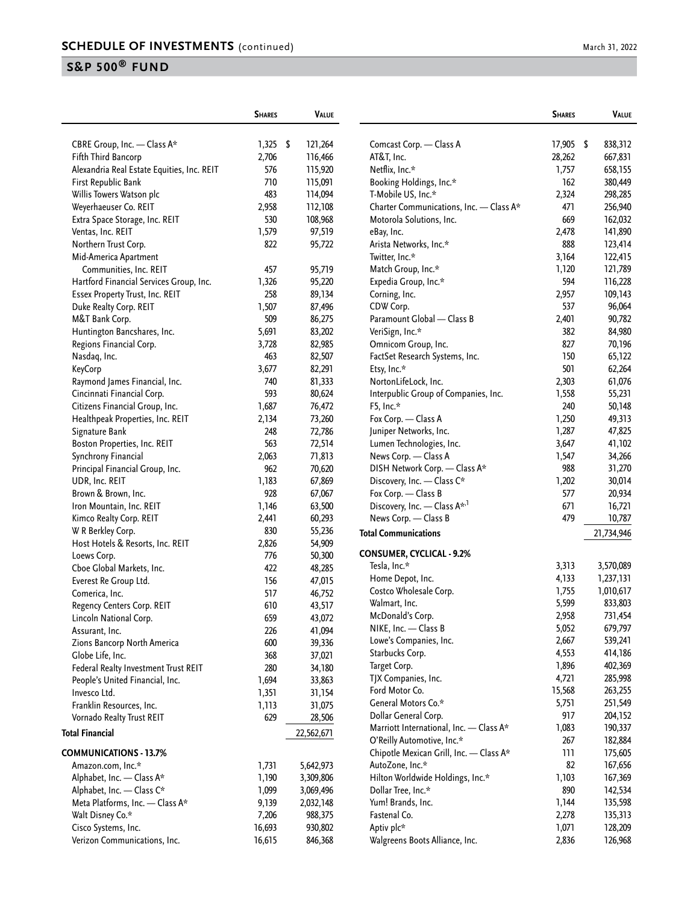|                                            | <b>SHARES</b> | <b>VALUE</b> |                                                                       | <b>SHARES</b> | <b>VALUE</b>       |
|--------------------------------------------|---------------|--------------|-----------------------------------------------------------------------|---------------|--------------------|
| CBRE Group, Inc. - Class A*                | $1,325$ \$    | 121,264      | Comcast Corp. - Class A                                               | 17,905 \$     | 838,312            |
| Fifth Third Bancorp                        | 2,706         | 116,466      | AT&T, Inc.                                                            | 28,262        | 667,831            |
| Alexandria Real Estate Equities, Inc. REIT | 576           | 115,920      | Netflix, Inc.*                                                        | 1,757         | 658,155            |
| First Republic Bank                        | 710           | 115,091      | Booking Holdings, Inc.*                                               | 162           | 380,449            |
| Willis Towers Watson plc                   | 483           | 114,094      | T-Mobile US, Inc.*                                                    | 2,324         | 298,285            |
| Weyerhaeuser Co. REIT                      | 2,958         | 112,108      | Charter Communications, Inc. - Class A*                               | 471           | 256,940            |
| Extra Space Storage, Inc. REIT             | 530           | 108,968      | Motorola Solutions, Inc.                                              | 669           | 162,032            |
| Ventas, Inc. REIT                          | 1,579         | 97,519       | eBay, Inc.                                                            | 2,478         | 141,890            |
| Northern Trust Corp.                       | 822           | 95,722       | Arista Networks, Inc.*                                                | 888           | 123,414            |
| Mid-America Apartment                      |               |              | Twitter, Inc.*                                                        | 3,164         | 122,415            |
| Communities, Inc. REIT                     | 457           | 95,719       | Match Group, Inc.*                                                    | 1,120         | 121,789            |
| Hartford Financial Services Group, Inc.    | 1,326         | 95,220       | Expedia Group, Inc.*                                                  | 594           | 116,228            |
| Essex Property Trust, Inc. REIT            | 258           | 89,134       | Corning, Inc.                                                         | 2,957         | 109,143            |
| Duke Realty Corp. REIT                     | 1,507         | 87,496       | CDW Corp.                                                             | 537           | 96,064             |
| M&T Bank Corp.                             | 509           | 86,275       | Paramount Global - Class B                                            | 2,401         | 90,782             |
| Huntington Bancshares, Inc.                | 5,691         | 83,202       | VeriSign, Inc.*                                                       | 382           | 84,980             |
| Regions Financial Corp.                    | 3,728         | 82,985       | Omnicom Group, Inc.                                                   | 827           | 70,196             |
| Nasdaq, Inc.                               | 463           | 82,507       | FactSet Research Systems, Inc.                                        | 150           | 65,122             |
| <b>KeyCorp</b>                             | 3,677         | 82,291       | Etsy, Inc.*                                                           | 501           | 62,264             |
| Raymond James Financial, Inc.              | 740           | 81,333       | NortonLifeLock, Inc.                                                  | 2,303         | 61,076             |
| Cincinnati Financial Corp.                 | 593           | 80,624       | Interpublic Group of Companies, Inc.                                  | 1,558         | 55,231             |
| Citizens Financial Group, Inc.             | 1,687         | 76,472       | F5, Inc.*                                                             | 240           | 50,148             |
| Healthpeak Properties, Inc. REIT           | 2,134         | 73,260       | Fox Corp. - Class A                                                   | 1,250         | 49,313             |
| Signature Bank                             | 248           | 72,786       | Juniper Networks, Inc.                                                | 1,287         | 47,825             |
| Boston Properties, Inc. REIT               | 563           | 72,514       | Lumen Technologies, Inc.                                              | 3,647         | 41,102             |
| Synchrony Financial                        | 2,063         | 71,813       | News Corp. - Class A                                                  | 1,547         | 34,266             |
| Principal Financial Group, Inc.            | 962           | 70,620       | DISH Network Corp. - Class A*                                         | 988           | 31,270             |
| UDR, Inc. REIT                             | 1,183         | 67,869       | Discovery, Inc. - Class C*                                            | 1,202         | 30,014             |
| Brown & Brown, Inc.                        | 928           | 67,067       | Fox Corp. - Class B                                                   | 577           | 20,934             |
| Iron Mountain, Inc. REIT                   | 1,146         | 63,500       | Discovery, Inc. - Class A*,1                                          | 671           | 16,721             |
| Kimco Realty Corp. REIT                    | 2,441         | 60,293       | News Corp. - Class B                                                  | 479           | 10,787             |
| W R Berkley Corp.                          | 830           | 55,236       | <b>Total Communications</b>                                           |               | 21,734,946         |
| Host Hotels & Resorts, Inc. REIT           | 2,826         | 54,909       |                                                                       |               |                    |
| Loews Corp.                                | 776           | 50,300       | <b>CONSUMER, CYCLICAL - 9.2%</b>                                      |               |                    |
| Cboe Global Markets, Inc.                  | 422           | 48,285       | Tesla, Inc.*                                                          | 3,313         | 3,570,089          |
| Everest Re Group Ltd.                      | 156           | 47,015       | Home Depot, Inc.                                                      | 4,133         | 1,237,131          |
| Comerica, Inc.                             | 517           | 46,752       | Costco Wholesale Corp.                                                | 1,755         | 1,010,617          |
| Regency Centers Corp. REIT                 | 610           | 43,517       | Walmart, Inc.                                                         | 5,599         | 833,803            |
| Lincoln National Corp.                     | 659           | 43,072       | McDonald's Corp.                                                      | 2,958         | 731,454            |
| Assurant, Inc.                             | 226           | 41,094       | NIKE, Inc. - Class B                                                  | 5,052         | 679,797            |
| Zions Bancorp North America                | 600           | 39,336       | Lowe's Companies, Inc.                                                | 2,667         | 539,241            |
| Globe Life, Inc.                           | 368           | 37,021       | Starbucks Corp.                                                       | 4,553         | 414,186            |
| Federal Realty Investment Trust REIT       | 280           | 34,180       | Target Corp.                                                          | 1,896         | 402,369            |
| People's United Financial, Inc.            | 1,694         | 33,863       | TJX Companies, Inc.                                                   | 4,721         | 285,998            |
| Invesco Ltd.                               | 1,351         | 31,154       | Ford Motor Co.                                                        | 15,568        | 263,255            |
| Franklin Resources, Inc.                   | 1,113         | 31,075       | General Motors Co.*                                                   | 5,751         | 251,549            |
| Vornado Realty Trust REIT                  | 629           | 28,506       | Dollar General Corp.                                                  | 917           | 204,152            |
| <b>Total Financial</b>                     |               | 22,562,671   | Marriott International, Inc. - Class A*<br>O'Reilly Automotive, Inc.* | 1,083<br>267  | 190,337<br>182,884 |
| <b>COMMUNICATIONS - 13.7%</b>              |               |              | Chipotle Mexican Grill, Inc. - Class A*                               | 111           | 175,605            |
| Amazon.com, Inc.*                          | 1,731         | 5,642,973    | AutoZone, Inc.*                                                       | 82            | 167,656            |
| Alphabet, Inc. - Class A*                  | 1,190         | 3,309,806    | Hilton Worldwide Holdings, Inc.*                                      | 1,103         | 167,369            |
| Alphabet, Inc. - Class C*                  | 1,099         | 3,069,496    | Dollar Tree, Inc.*                                                    | 890           | 142,534            |
| Meta Platforms, Inc. - Class A*            | 9,139         | 2,032,148    | Yum! Brands, Inc.                                                     | 1,144         | 135,598            |
| Walt Disney Co.*                           | 7,206         | 988,375      | Fastenal Co.                                                          | 2,278         | 135,313            |
| Cisco Systems, Inc.                        | 16,693        | 930,802      | Aptiv plc*                                                            | 1,071         | 128,209            |
| Verizon Communications, Inc.               | 16,615        | 846,368      | Walgreens Boots Alliance, Inc.                                        | 2,836         | 126,968            |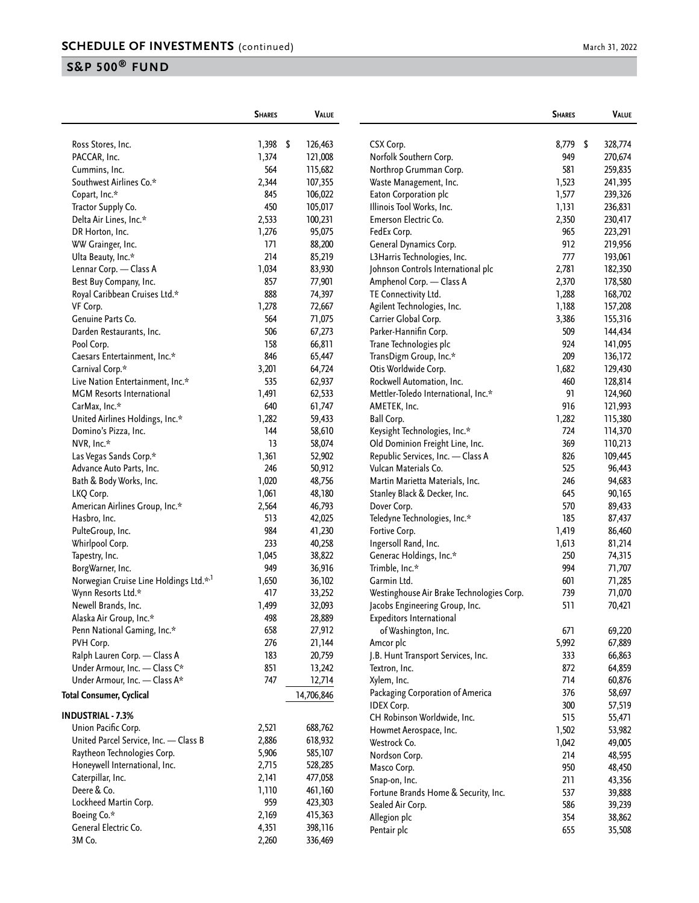|                                                   | <b>SHARES</b> | <b>VALUE</b> |                                                       | <b>SHARES</b> | <b>VALUE</b>     |
|---------------------------------------------------|---------------|--------------|-------------------------------------------------------|---------------|------------------|
| Ross Stores, Inc.                                 | $1,398$ \$    | 126,463      | CSX Corp.                                             | 8,779         | \$<br>328,774    |
| PACCAR, Inc.                                      | 1,374         | 121,008      | Norfolk Southern Corp.                                | 949           | 270,674          |
| Cummins, Inc.                                     | 564           | 115,682      | Northrop Grumman Corp.                                | 581           | 259,835          |
| Southwest Airlines Co.*                           | 2,344         | 107,355      | Waste Management, Inc.                                | 1,523         | 241,395          |
| Copart, Inc.*                                     | 845           | 106,022      | Eaton Corporation plc                                 | 1,577         | 239,326          |
| Tractor Supply Co.                                | 450           | 105,017      | Illinois Tool Works, Inc.                             | 1,131         | 236,831          |
| Delta Air Lines, Inc.*                            | 2,533         | 100,231      | Emerson Electric Co.                                  | 2,350         | 230,417          |
| DR Horton, Inc.                                   | 1,276         | 95,075       | FedEx Corp.                                           | 965           | 223,291          |
| WW Grainger, Inc.                                 | 171           | 88,200       | General Dynamics Corp.                                | 912           | 219,956          |
| Ulta Beauty, Inc.*                                | 214           | 85,219       | L3Harris Technologies, Inc.                           | 777           | 193,061          |
| Lennar Corp. - Class A                            | 1,034         | 83,930       | Johnson Controls International plc                    | 2,781         | 182,350          |
| Best Buy Company, Inc.                            | 857           | 77,901       | Amphenol Corp. - Class A                              | 2,370         | 178,580          |
| Royal Caribbean Cruises Ltd.*                     | 888           | 74,397       | TE Connectivity Ltd.                                  | 1,288         | 168,702          |
| VF Corp.                                          | 1,278         | 72,667       | Agilent Technologies, Inc.                            | 1,188         | 157,208          |
| Genuine Parts Co.                                 | 564           | 71,075       | Carrier Global Corp.                                  | 3,386         | 155,316          |
| Darden Restaurants, Inc.                          | 506           | 67,273       | Parker-Hannifin Corp.                                 | 509           | 144,434          |
| Pool Corp.                                        | 158           | 66,811       | Trane Technologies plc                                | 924           | 141,095          |
| Caesars Entertainment, Inc.*                      | 846           | 65,447       | TransDigm Group, Inc.*                                | 209           | 136,172          |
| Carnival Corp.*                                   | 3,201         | 64,724       | Otis Worldwide Corp.                                  | 1,682         | 129,430          |
| Live Nation Entertainment, Inc.*                  | 535           | 62,937       | Rockwell Automation, Inc.                             | 460           | 128,814          |
| <b>MGM</b> Resorts International                  | 1,491         | 62,533       | Mettler-Toledo International, Inc.*                   | 91            | 124,960          |
| CarMax, Inc.*                                     | 640           | 61,747       | AMETEK, Inc.                                          | 916           | 121,993          |
| United Airlines Holdings, Inc.*                   | 1,282         | 59,433       | <b>Ball Corp.</b>                                     | 1,282         | 115,380          |
| Domino's Pizza, Inc.                              | 144           | 58,610       | Keysight Technologies, Inc.*                          | 724           | 114,370          |
| NVR, Inc.*                                        | 13            | 58,074       | Old Dominion Freight Line, Inc.                       | 369           | 110,213          |
| Las Vegas Sands Corp.*                            | 1,361         | 52,902       | Republic Services, Inc. - Class A                     | 826           | 109,445          |
| Advance Auto Parts, Inc.                          | 246           | 50,912       | Vulcan Materials Co.                                  | 525           | 96,443           |
| Bath & Body Works, Inc.                           | 1,020         | 48,756       | Martin Marietta Materials, Inc.                       | 246           | 94,683           |
| LKQ Corp.                                         | 1,061         | 48,180       | Stanley Black & Decker, Inc.                          | 645           | 90,165           |
| American Airlines Group, Inc.*                    | 2,564         | 46,793       | Dover Corp.                                           | 570           | 89,433           |
| Hasbro, Inc.                                      | 513           | 42,025       | Teledyne Technologies, Inc.*                          | 185           | 87,437           |
| PulteGroup, Inc.                                  | 984           | 41,230       | Fortive Corp.                                         | 1,419         | 86,460           |
| Whirlpool Corp.                                   | 233           | 40,258       | Ingersoll Rand, Inc.                                  | 1,613         | 81,214           |
| Tapestry, Inc.                                    | 1,045         | 38,822       | Generac Holdings, Inc.*                               | 250           | 74,315           |
| BorgWarner, Inc.                                  | 949           | 36,916       | Trimble, Inc.*                                        | 994           | 71,707           |
| Norwegian Cruise Line Holdings Ltd.* <sup>1</sup> | 1,650         | 36,102       | Garmin Ltd.                                           | 601           | 71,285           |
| Wynn Resorts Ltd.*                                | 417           | 33,252       | Westinghouse Air Brake Technologies Corp.             | 739           | 71,070           |
| Newell Brands, Inc.                               | 1,499         | 32,093       | Jacobs Engineering Group, Inc.                        | 511           | 70,421           |
| Alaska Air Group, Inc.*                           | 498           | 28,889       | Expeditors International                              |               |                  |
| Penn National Gaming, Inc.*                       | 658           | 27,912       | of Washington, Inc.                                   | 671           | 69,220           |
| PVH Corp.                                         | 276           | 21,144       | Amcor plc                                             | 5,992         | 67,889           |
| Ralph Lauren Corp. - Class A                      | 183           | 20,759       | J.B. Hunt Transport Services, Inc.                    | 333           | 66,863           |
| Under Armour, Inc. - Class C*                     | 851           | 13,242       | Textron, Inc.                                         | 872           | 64,859           |
| Under Armour, Inc. - Class A*                     | 747           | 12,714       | Xylem, Inc.                                           | 714           | 60,876           |
| <b>Total Consumer, Cyclical</b>                   |               | 14,706,846   | Packaging Corporation of America<br><b>IDEX Corp.</b> | 376<br>300    | 58,697<br>57,519 |
| <b>INDUSTRIAL - 7.3%</b>                          |               |              | CH Robinson Worldwide, Inc.                           | 515           | 55,471           |
| Union Pacific Corp.                               | 2,521         | 688,762      | Howmet Aerospace, Inc.                                | 1,502         | 53,982           |
| United Parcel Service, Inc. - Class B             | 2,886         | 618,932      | Westrock Co.                                          | 1,042         | 49,005           |
| Raytheon Technologies Corp.                       | 5,906         | 585,107      | Nordson Corp.                                         | 214           | 48,595           |
| Honeywell International, Inc.                     | 2,715         | 528,285      | Masco Corp.                                           | 950           | 48,450           |
| Caterpillar, Inc.                                 | 2,141         | 477,058      | Snap-on, Inc.                                         | 211           | 43,356           |
| Deere & Co.                                       | 1,110         | 461,160      | Fortune Brands Home & Security, Inc.                  | 537           | 39,888           |
| Lockheed Martin Corp.                             | 959           | 423,303      | Sealed Air Corp.                                      | 586           | 39,239           |
| Boeing Co.*                                       | 2,169         | 415,363      | Allegion plc                                          | 354           | 38,862           |
| General Electric Co.                              | 4,351         | 398,116      | Pentair plc                                           | 655           | 35,508           |
| 3M Co.                                            | 2,260         | 336,469      |                                                       |               |                  |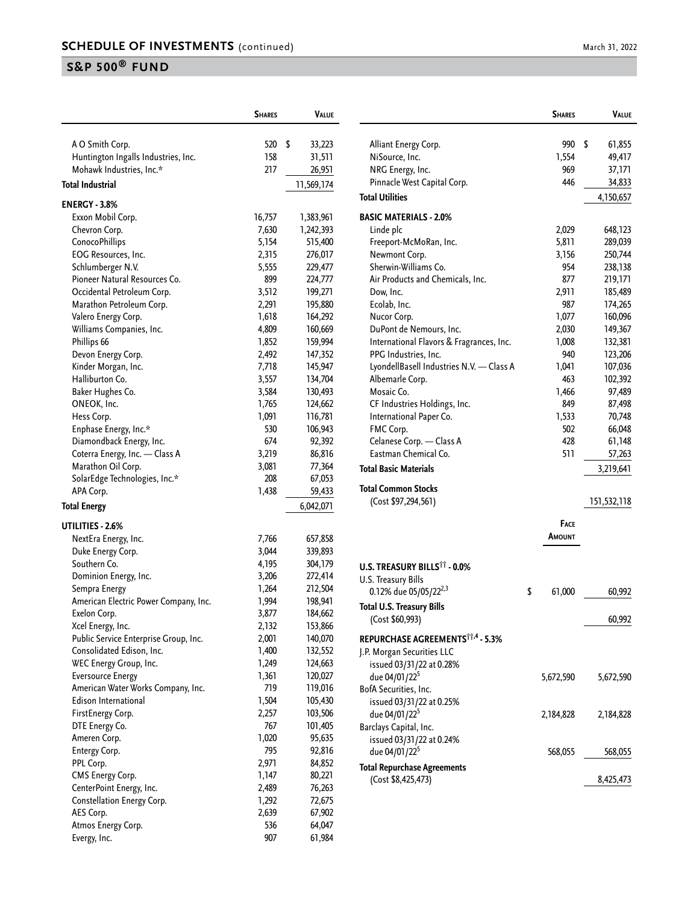|                                       | <b>SHARES</b> | VALUE        |
|---------------------------------------|---------------|--------------|
|                                       |               |              |
| A O Smith Corp.                       | 520           | \$<br>33,223 |
| Huntington Ingalls Industries, Inc.   | 158<br>217    | 31,511       |
| Mohawk Industries, Inc.*              |               | 26,951       |
| <b>Total Industrial</b>               |               | 11,569,174   |
| <b>ENERGY - 3.8%</b>                  |               |              |
| Exxon Mobil Corp.                     | 16,757        | 1,383,961    |
| Chevron Corp.                         | 7,630         | 1,242,393    |
| ConocoPhillips                        | 5,154         | 515,400      |
| EOG Resources, Inc.                   | 2,315         | 276,017      |
| Schlumberger N.V.                     | 5,555         | 229,477      |
| Pioneer Natural Resources Co.         | 899           | 224,777      |
| Occidental Petroleum Corp.            | 3,512         | 199,271      |
| Marathon Petroleum Corp.              | 2,291         | 195,880      |
| Valero Energy Corp.                   | 1,618         | 164,292      |
| Williams Companies, Inc.              | 4,809         | 160,669      |
| Phillips 66                           | 1,852         | 159,994      |
| Devon Energy Corp.                    | 2,492         | 147,352      |
| Kinder Morgan, Inc.                   | 7,718         | 145,947      |
| Halliburton Co.                       | 3,557         | 134,704      |
| Baker Hughes Co.                      | 3,584         | 130,493      |
| ONEOK, Inc.                           | 1,765         | 124,662      |
| Hess Corp.                            | 1,091         | 116,781      |
| Enphase Energy, Inc.*                 | 530           | 106,943      |
| Diamondback Energy, Inc.              | 674           | 92,392       |
| Coterra Energy, Inc. - Class A        | 3,219         | 86,816       |
| Marathon Oil Corp.                    | 3,081         | 77,364       |
| SolarEdge Technologies, Inc.*         | 208           | 67,053       |
| APA Corp.                             | 1,438         | 59,433       |
| <b>Total Energy</b>                   |               | 6,042,071    |
| UTILITIES - 2.6%                      |               |              |
| NextEra Energy, Inc.                  | 7,766         | 657,858      |
| Duke Energy Corp.                     | 3,044         | 339,893      |
| Southern Co.                          | 4,195         | 304,179      |
| Dominion Energy, Inc.                 | 3,206         | 272,414      |
| Sempra Energy                         | 1,264         | 212,504      |
| American Electric Power Company, Inc. | 1,994         | 198,941      |
| Exelon Corp.                          | 3,877         | 184,662      |
| Xcel Energy, Inc.                     | 2,132         | 153,866      |
| Public Service Enterprise Group, Inc. | 2,001         | 140,070      |
| Consolidated Edison, Inc.             | 1,400         | 132,552      |
| WEC Energy Group, Inc.                | 1,249         | 124,663      |
| <b>Eversource Energy</b>              | 1,361         | 120,027      |
| American Water Works Company, Inc.    | 719           | 119,016      |
| Edison International                  | 1,504         | 105,430      |
| FirstEnergy Corp.                     | 2,257         | 103,506      |
| DTE Energy Co.                        | 767           | 101,405      |
| Ameren Corp.                          | 1,020         | 95,635       |
| Entergy Corp.                         | 795           | 92,816       |
| PPL Corp.                             | 2,971         | 84,852       |
| CMS Energy Corp.                      | 1,147         | 80,221       |
| CenterPoint Energy, Inc.              | 2,489         | 76,263       |
| Constellation Energy Corp.            | 1,292         | 72,675       |
| AES Corp.                             | 2,639         | 67,902       |
| Atmos Energy Corp.                    | 536           | 64,047       |
| Evergy, Inc.                          | 907           | 61,984       |

|                                              | <b>SHARES</b> | Value       |
|----------------------------------------------|---------------|-------------|
|                                              |               | \$          |
| Alliant Energy Corp.                         | 990           | 61,855      |
| NiSource, Inc.                               | 1,554         | 49,417      |
| NRG Energy, Inc.                             | 969           | 37,171      |
| Pinnacle West Capital Corp.                  | 446           | 34,833      |
| Total Utilities                              |               | 4,150,657   |
| <b>BASIC MATERIALS - 2.0%</b>                |               |             |
| Linde plc                                    | 2,029         | 648,123     |
| Freeport-McMoRan, Inc.                       | 5,811         | 289,039     |
| Newmont Corp.                                | 3,156         | 250,744     |
| Sherwin-Williams Co.                         | 954           | 238,138     |
| Air Products and Chemicals, Inc.             | 877           | 219,171     |
| Dow, Inc.                                    | 2,911         | 185,489     |
| Ecolab, Inc.                                 | 987           | 174,265     |
| Nucor Corp.                                  | 1,077         | 160,096     |
| DuPont de Nemours, Inc.                      | 2,030         | 149,367     |
| International Flavors & Fragrances, Inc.     | 1,008         | 132,381     |
| PPG Industries, Inc.                         | 940           | 123,206     |
| LyondellBasell Industries N.V. - Class A     | 1,041         | 107,036     |
| Albemarle Corp.                              | 463           | 102,392     |
| Mosaic Co.                                   | 1,466         | 97,489      |
| CF Industries Holdings, Inc.                 | 849           | 87,498      |
| International Paper Co.                      | 1,533         | 70,748      |
| FMC Corp.                                    | 502           | 66,048      |
| Celanese Corp. - Class A                     | 428           | 61,148      |
| Eastman Chemical Co.                         | 511           | 57,263      |
| Total Basic Materials                        |               | 3,219,641   |
| Total Common Stocks                          |               |             |
| (Cost \$97,294,561)                          |               | 151,532,118 |
|                                              | <b>FACE</b>   |             |
|                                              | Amount        |             |
|                                              |               |             |
| U.S. TREASURY BILLS†† - 0.0%                 |               |             |
| U.S. Treasury Bills                          |               |             |
| 0.12% due 05/05/22 <sup>2,3</sup>            | \$<br>61,000  | 60,992      |
| Total U.S. Treasury Bills                    |               |             |
| (Cost \$60,993)                              |               | 60,992      |
| REPURCHASE AGREEMENTS <sup>††,4</sup> - 5.3% |               |             |
| J.P. Morgan Securities LLC                   |               |             |
| issued 03/31/22 at 0.28%                     |               |             |
| due 04/01/22 <sup>5</sup>                    | 5,672,590     | 5,672,590   |
| BofA Securities, Inc.                        |               |             |
| issued 03/31/22 at 0.25%                     |               |             |
| due 04/01/22 <sup>5</sup>                    | 2,184,828     | 2,184,828   |
| Barclays Capital, Inc.                       |               |             |
| issued 03/31/22 at 0.24%                     |               |             |
| due 04/01/22 <sup>5</sup>                    | 568,055       | 568,055     |
|                                              |               |             |
| <b>Total Repurchase Agreements</b>           |               |             |
| (Cost \$8,425,473)                           |               | 8,425,473   |